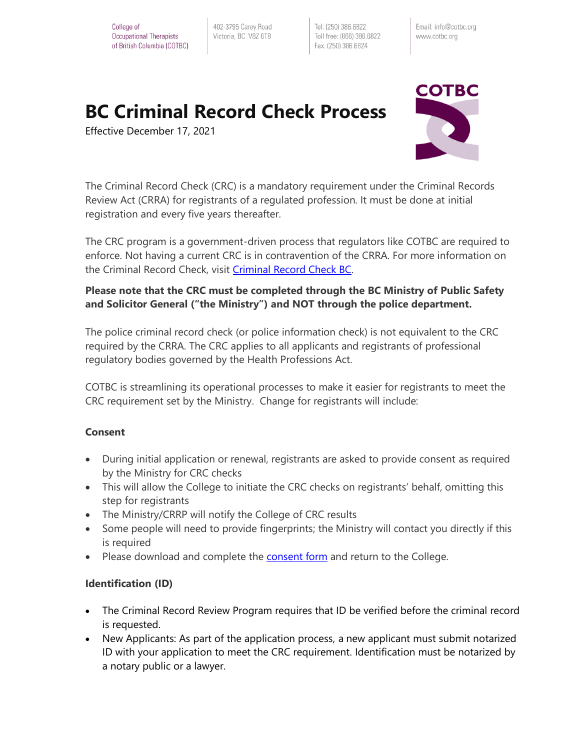402-3795 Carey Road Victoria, BC V8Z 6T8

Tel: (250) 386.6822 Toll free: (866) 386.6822 Fax: (250) 386.6824

Email: info@cotbc.org www.cotbc.org

# **BC Criminal Record Check Process**

Effective December 17, 2021



The Criminal Record Check (CRC) is a mandatory requirement under the Criminal Records Review Act (CRRA) for registrants of a regulated profession. It must be done at initial registration and every five years thereafter.

The CRC program is a government-driven process that regulators like COTBC are required to enforce. Not having a current CRC is in contravention of the CRRA. For more information on the Criminal Record Check, visit [Criminal Record Check BC.](https://www2.gov.bc.ca/gov/content/safety/crime-prevention/criminal-record-check)

## **Please note that the CRC must be completed through the BC Ministry of Public Safety and Solicitor General ("the Ministry") and NOT through the police department.**

The police criminal record check (or police information check) is not equivalent to the CRC required by the CRRA. The CRC applies to all applicants and registrants of professional regulatory bodies governed by the Health Professions Act.

COTBC is streamlining its operational processes to make it easier for registrants to meet the CRC requirement set by the Ministry. Change for registrants will include:

### **Consent**

- During initial application or renewal, registrants are asked to provide consent as required by the Ministry for CRC checks
- This will allow the College to initiate the CRC checks on registrants' behalf, omitting this step for registrants
- The Ministry/CRRP will notify the College of CRC results
- Some people will need to provide fingerprints; the Ministry will contact you directly if this is required
- Please download and complete the **consent form** and return to the College.

### **Identification (ID)**

- The Criminal Record Review Program requires that ID be verified before the criminal record is requested.
- New Applicants: As part of the application process, a new applicant must submit notarized ID with your application to meet the CRC requirement. Identification must be notarized by a notary public or a lawyer.